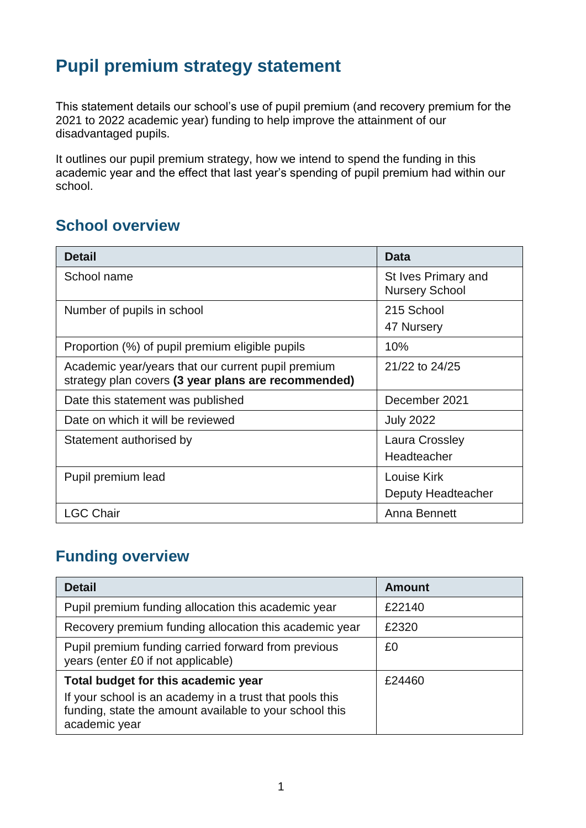# **Pupil premium strategy statement**

This statement details our school's use of pupil premium (and recovery premium for the 2021 to 2022 academic year) funding to help improve the attainment of our disadvantaged pupils.

It outlines our pupil premium strategy, how we intend to spend the funding in this academic year and the effect that last year's spending of pupil premium had within our school.

## **School overview**

| <b>Detail</b>                                                                                             | <b>Data</b>                                  |
|-----------------------------------------------------------------------------------------------------------|----------------------------------------------|
| School name                                                                                               | St Ives Primary and<br><b>Nursery School</b> |
| Number of pupils in school                                                                                | 215 School<br>47 Nursery                     |
| Proportion (%) of pupil premium eligible pupils                                                           | 10%                                          |
| Academic year/years that our current pupil premium<br>strategy plan covers (3 year plans are recommended) | 21/22 to 24/25                               |
| Date this statement was published                                                                         | December 2021                                |
| Date on which it will be reviewed                                                                         | <b>July 2022</b>                             |
| Statement authorised by                                                                                   | Laura Crossley<br>Headteacher                |
| Pupil premium lead                                                                                        | Louise Kirk<br>Deputy Headteacher            |
| <b>LGC Chair</b>                                                                                          | Anna Bennett                                 |

### **Funding overview**

| <b>Detail</b>                                                                                                                       | <b>Amount</b> |
|-------------------------------------------------------------------------------------------------------------------------------------|---------------|
| Pupil premium funding allocation this academic year                                                                                 | £22140        |
| Recovery premium funding allocation this academic year                                                                              | £2320         |
| Pupil premium funding carried forward from previous<br>years (enter £0 if not applicable)                                           | £0            |
| Total budget for this academic year                                                                                                 | £24460        |
| If your school is an academy in a trust that pools this<br>funding, state the amount available to your school this<br>academic year |               |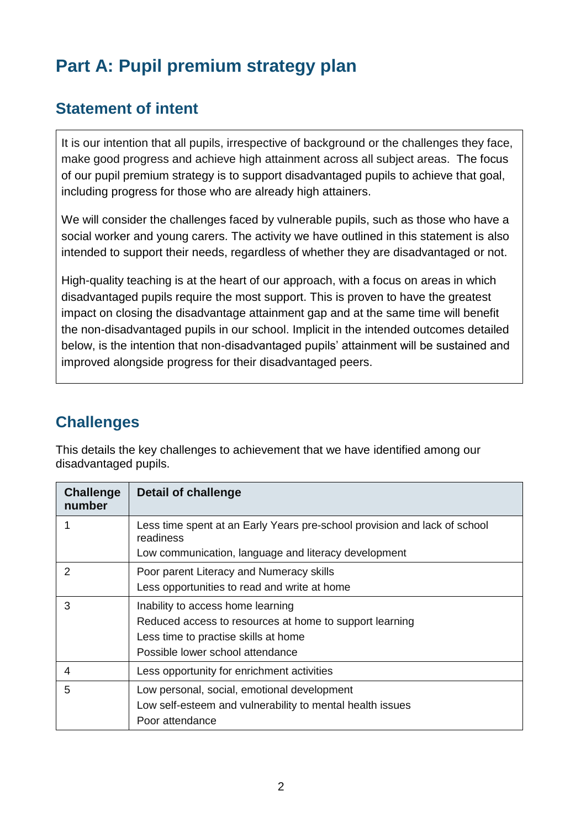# **Part A: Pupil premium strategy plan**

## **Statement of intent**

It is our intention that all pupils, irrespective of background or the challenges they face, make good progress and achieve high attainment across all subject areas. The focus of our pupil premium strategy is to support disadvantaged pupils to achieve that goal, including progress for those who are already high attainers.

We will consider the challenges faced by vulnerable pupils, such as those who have a social worker and young carers. The activity we have outlined in this statement is also intended to support their needs, regardless of whether they are disadvantaged or not.

High-quality teaching is at the heart of our approach, with a focus on areas in which disadvantaged pupils require the most support. This is proven to have the greatest impact on closing the disadvantage attainment gap and at the same time will benefit the non-disadvantaged pupils in our school. Implicit in the intended outcomes detailed below, is the intention that non-disadvantaged pupils' attainment will be sustained and improved alongside progress for their disadvantaged peers.

# **Challenges**

This details the key challenges to achievement that we have identified among our disadvantaged pupils.

| <b>Challenge</b><br>number | <b>Detail of challenge</b>                                                             |
|----------------------------|----------------------------------------------------------------------------------------|
|                            | Less time spent at an Early Years pre-school provision and lack of school<br>readiness |
|                            | Low communication, language and literacy development                                   |
| $\mathcal{P}$              | Poor parent Literacy and Numeracy skills                                               |
|                            | Less opportunities to read and write at home                                           |
| 3                          | Inability to access home learning                                                      |
|                            | Reduced access to resources at home to support learning                                |
|                            | Less time to practise skills at home                                                   |
|                            | Possible lower school attendance                                                       |
| 4                          | Less opportunity for enrichment activities                                             |
| 5                          | Low personal, social, emotional development                                            |
|                            | Low self-esteem and vulnerability to mental health issues                              |
|                            | Poor attendance                                                                        |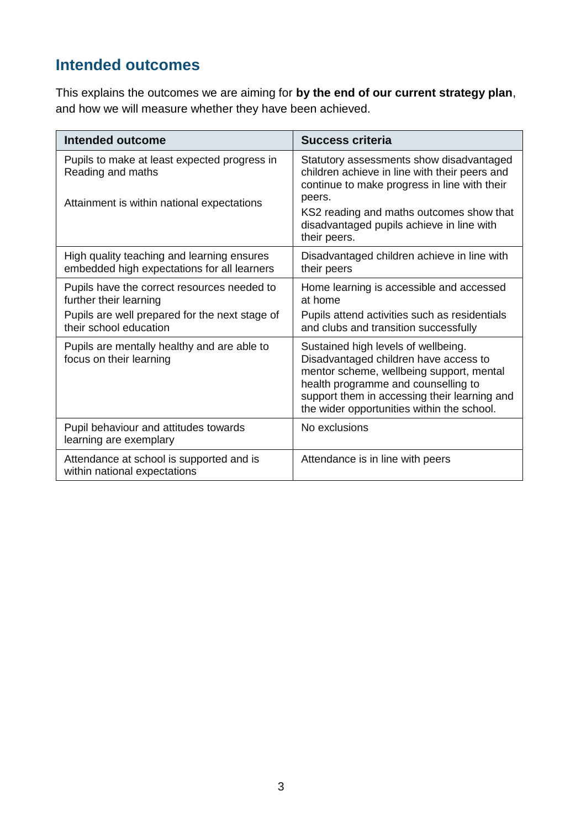# **Intended outcomes**

This explains the outcomes we are aiming for **by the end of our current strategy plan**, and how we will measure whether they have been achieved.

| <b>Intended outcome</b>                                                                                                                           | <b>Success criteria</b>                                                                                                                                                                                                                                       |
|---------------------------------------------------------------------------------------------------------------------------------------------------|---------------------------------------------------------------------------------------------------------------------------------------------------------------------------------------------------------------------------------------------------------------|
| Pupils to make at least expected progress in<br>Reading and maths<br>Attainment is within national expectations                                   | Statutory assessments show disadvantaged<br>children achieve in line with their peers and<br>continue to make progress in line with their<br>peers.<br>KS2 reading and maths outcomes show that<br>disadvantaged pupils achieve in line with<br>their peers.  |
| High quality teaching and learning ensures<br>embedded high expectations for all learners                                                         | Disadvantaged children achieve in line with<br>their peers                                                                                                                                                                                                    |
| Pupils have the correct resources needed to<br>further their learning<br>Pupils are well prepared for the next stage of<br>their school education | Home learning is accessible and accessed<br>at home<br>Pupils attend activities such as residentials<br>and clubs and transition successfully                                                                                                                 |
| Pupils are mentally healthy and are able to<br>focus on their learning                                                                            | Sustained high levels of wellbeing.<br>Disadvantaged children have access to<br>mentor scheme, wellbeing support, mental<br>health programme and counselling to<br>support them in accessing their learning and<br>the wider opportunities within the school. |
| Pupil behaviour and attitudes towards<br>learning are exemplary                                                                                   | No exclusions                                                                                                                                                                                                                                                 |
| Attendance at school is supported and is<br>within national expectations                                                                          | Attendance is in line with peers                                                                                                                                                                                                                              |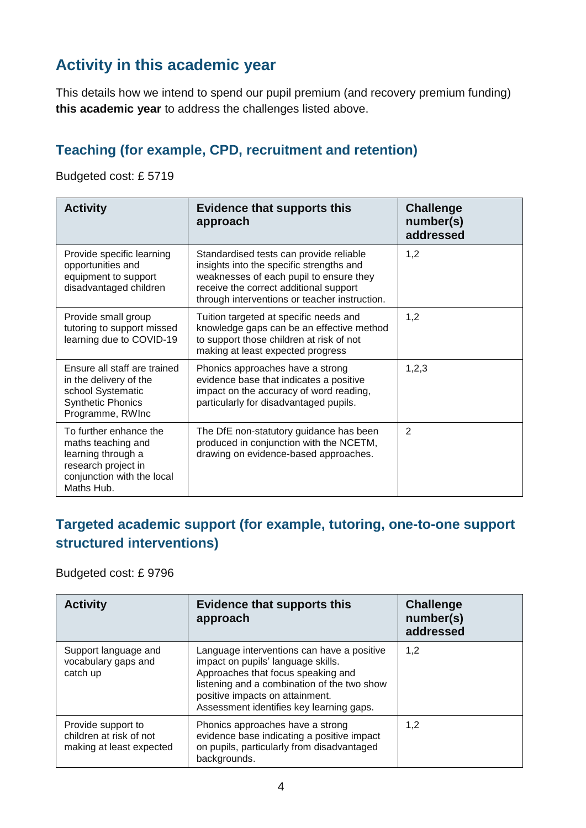# **Activity in this academic year**

This details how we intend to spend our pupil premium (and recovery premium funding) **this academic year** to address the challenges listed above.

### **Teaching (for example, CPD, recruitment and retention)**

Budgeted cost: £ 5719

| <b>Activity</b>                                                                                                                       | <b>Evidence that supports this</b><br>approach                                                                                                                                                                            | <b>Challenge</b><br>number(s)<br>addressed |
|---------------------------------------------------------------------------------------------------------------------------------------|---------------------------------------------------------------------------------------------------------------------------------------------------------------------------------------------------------------------------|--------------------------------------------|
| Provide specific learning<br>opportunities and<br>equipment to support<br>disadvantaged children                                      | Standardised tests can provide reliable<br>insights into the specific strengths and<br>weaknesses of each pupil to ensure they<br>receive the correct additional support<br>through interventions or teacher instruction. | 1,2                                        |
| Provide small group<br>tutoring to support missed<br>learning due to COVID-19                                                         | Tuition targeted at specific needs and<br>knowledge gaps can be an effective method<br>to support those children at risk of not<br>making at least expected progress                                                      | 1,2                                        |
| Ensure all staff are trained<br>in the delivery of the<br>school Systematic<br><b>Synthetic Phonics</b><br>Programme, RWInc           | Phonics approaches have a strong<br>evidence base that indicates a positive<br>impact on the accuracy of word reading,<br>particularly for disadvantaged pupils.                                                          | 1,2,3                                      |
| To further enhance the<br>maths teaching and<br>learning through a<br>research project in<br>conjunction with the local<br>Maths Hub. | The DfE non-statutory guidance has been<br>produced in conjunction with the NCETM,<br>drawing on evidence-based approaches.                                                                                               | 2                                          |

#### **Targeted academic support (for example, tutoring, one-to-one support structured interventions)**

Budgeted cost: £ 9796

| <b>Activity</b>                                                           | <b>Evidence that supports this</b><br>approach                                                                                                                                                                                                       | <b>Challenge</b><br>number(s)<br>addressed |
|---------------------------------------------------------------------------|------------------------------------------------------------------------------------------------------------------------------------------------------------------------------------------------------------------------------------------------------|--------------------------------------------|
| Support language and<br>vocabulary gaps and<br>catch up                   | Language interventions can have a positive<br>impact on pupils' language skills.<br>Approaches that focus speaking and<br>listening and a combination of the two show<br>positive impacts on attainment.<br>Assessment identifies key learning gaps. | 1,2                                        |
| Provide support to<br>children at risk of not<br>making at least expected | Phonics approaches have a strong<br>evidence base indicating a positive impact<br>on pupils, particularly from disadvantaged<br>backgrounds.                                                                                                         | 1,2                                        |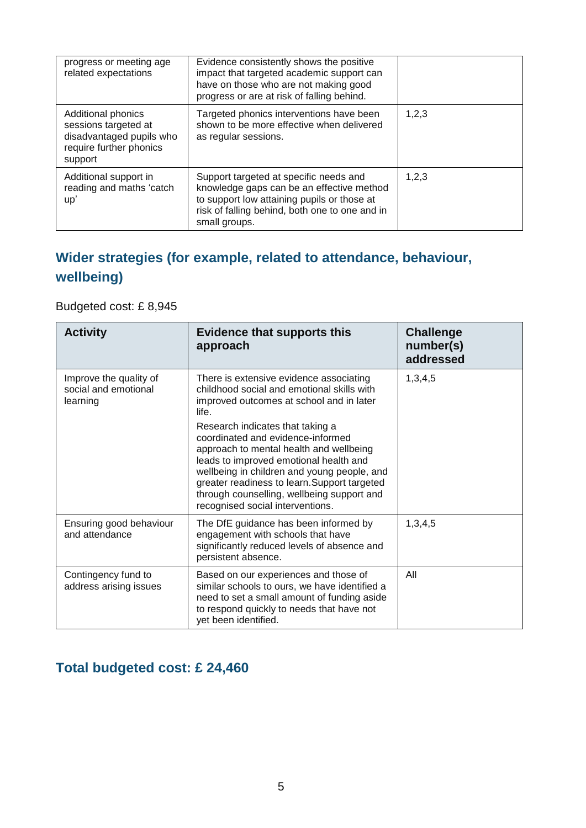| progress or meeting age<br>related expectations                                                                     | Evidence consistently shows the positive<br>impact that targeted academic support can<br>have on those who are not making good                                                                        |       |
|---------------------------------------------------------------------------------------------------------------------|-------------------------------------------------------------------------------------------------------------------------------------------------------------------------------------------------------|-------|
| <b>Additional phonics</b><br>sessions targeted at<br>disadvantaged pupils who<br>require further phonics<br>support | progress or are at risk of falling behind.<br>Targeted phonics interventions have been<br>shown to be more effective when delivered<br>as regular sessions.                                           | 1,2,3 |
| Additional support in<br>reading and maths 'catch<br>up'                                                            | Support targeted at specific needs and<br>knowledge gaps can be an effective method<br>to support low attaining pupils or those at<br>risk of falling behind, both one to one and in<br>small groups. | 1,2,3 |

# **Wider strategies (for example, related to attendance, behaviour, wellbeing)**

#### Budgeted cost: £ 8,945

| <b>Activity</b>                                            | <b>Evidence that supports this</b><br>approach                                                                                                                                                                                                                                                                                              | <b>Challenge</b><br>number(s)<br>addressed |
|------------------------------------------------------------|---------------------------------------------------------------------------------------------------------------------------------------------------------------------------------------------------------------------------------------------------------------------------------------------------------------------------------------------|--------------------------------------------|
| Improve the quality of<br>social and emotional<br>learning | There is extensive evidence associating<br>childhood social and emotional skills with<br>improved outcomes at school and in later<br>life.                                                                                                                                                                                                  | 1,3,4,5                                    |
|                                                            | Research indicates that taking a<br>coordinated and evidence-informed<br>approach to mental health and wellbeing<br>leads to improved emotional health and<br>wellbeing in children and young people, and<br>greater readiness to learn. Support targeted<br>through counselling, wellbeing support and<br>recognised social interventions. |                                            |
| Ensuring good behaviour<br>and attendance                  | The DfE guidance has been informed by<br>engagement with schools that have<br>significantly reduced levels of absence and<br>persistent absence.                                                                                                                                                                                            | 1,3,4,5                                    |
| Contingency fund to<br>address arising issues              | Based on our experiences and those of<br>similar schools to ours, we have identified a<br>need to set a small amount of funding aside<br>to respond quickly to needs that have not<br>yet been identified.                                                                                                                                  | All                                        |

## **Total budgeted cost: £ 24,460**